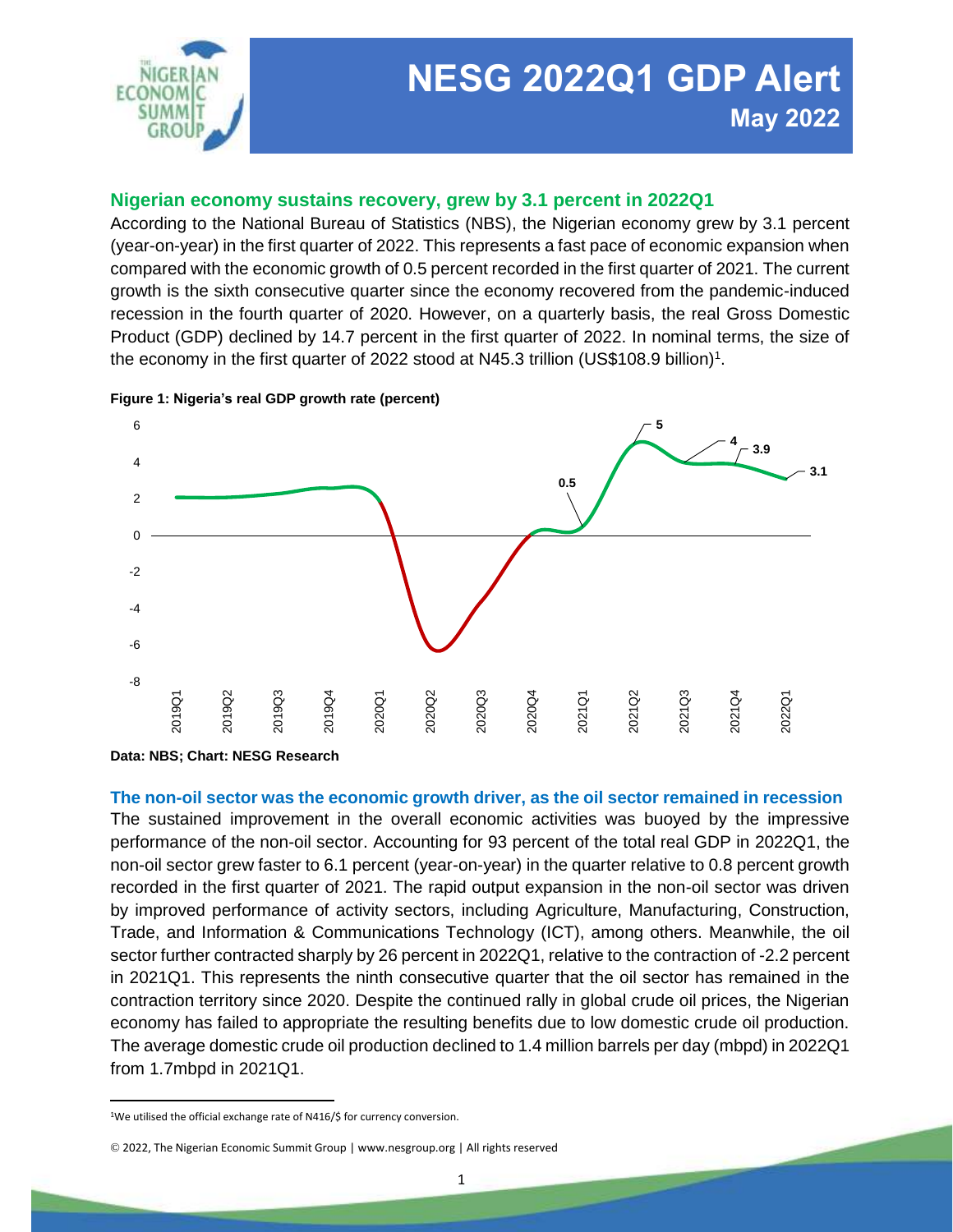

# **NESG 2022Q1 GDP Alert May 2022**

# **Nigerian economy sustains recovery, grew by 3.1 percent in 2022Q1**

According to the National Bureau of Statistics (NBS), the Nigerian economy grew by 3.1 percent (year-on-year) in the first quarter of 2022. This represents a fast pace of economic expansion when compared with the economic growth of 0.5 percent recorded in the first quarter of 2021. The current growth is the sixth consecutive quarter since the economy recovered from the pandemic-induced recession in the fourth quarter of 2020. However, on a quarterly basis, the real Gross Domestic Product (GDP) declined by 14.7 percent in the first quarter of 2022. In nominal terms, the size of the economy in the first quarter of 2022 stood at N45.3 trillion (US\$108.9 billion)<sup>1</sup>.



### **Figure 1: Nigeria's real GDP growth rate (percent)**

**Data: NBS; Chart: NESG Research**

### **The non-oil sector was the economic growth driver, as the oil sector remained in recession**

The sustained improvement in the overall economic activities was buoyed by the impressive performance of the non-oil sector. Accounting for 93 percent of the total real GDP in 2022Q1, the non-oil sector grew faster to 6.1 percent (year-on-year) in the quarter relative to 0.8 percent growth recorded in the first quarter of 2021. The rapid output expansion in the non-oil sector was driven by improved performance of activity sectors, including Agriculture, Manufacturing, Construction, Trade, and Information & Communications Technology (ICT), among others. Meanwhile, the oil sector further contracted sharply by 26 percent in 2022Q1, relative to the contraction of -2.2 percent in 2021Q1. This represents the ninth consecutive quarter that the oil sector has remained in the contraction territory since 2020. Despite the continued rally in global crude oil prices, the Nigerian economy has failed to appropriate the resulting benefits due to low domestic crude oil production. The average domestic crude oil production declined to 1.4 million barrels per day (mbpd) in 2022Q1 from 1.7mbpd in 2021Q1.

 $\overline{\phantom{a}}$ 

<sup>&</sup>lt;sup>1</sup>We utilised the official exchange rate of N416/\$ for currency conversion.

<sup>©</sup> 2022, The Nigerian Economic Summit Group | www.nesgroup.org | All rights reserved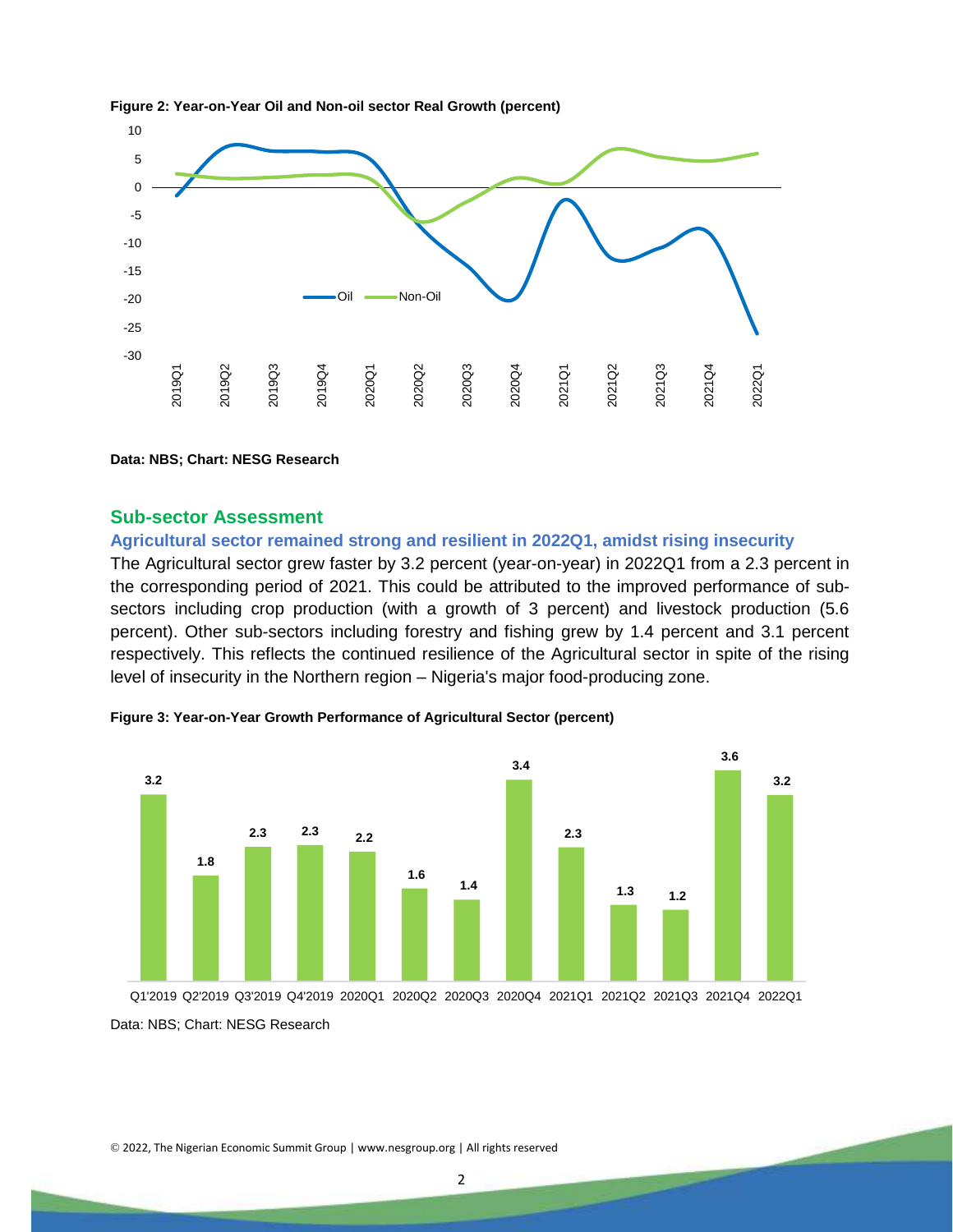

#### **Figure 2: Year-on-Year Oil and Non-oil sector Real Growth (percent)**

**Data: NBS; Chart: NESG Research**

## **Sub-sector Assessment**

## **Agricultural sector remained strong and resilient in 2022Q1, amidst rising insecurity**

The Agricultural sector grew faster by 3.2 percent (year-on-year) in 2022Q1 from a 2.3 percent in the corresponding period of 2021. This could be attributed to the improved performance of subsectors including crop production (with a growth of 3 percent) and livestock production (5.6 percent). Other sub-sectors including forestry and fishing grew by 1.4 percent and 3.1 percent respectively. This reflects the continued resilience of the Agricultural sector in spite of the rising level of insecurity in the Northern region – Nigeria's major food-producing zone.



**Figure 3: Year-on-Year Growth Performance of Agricultural Sector (percent)**

Data: NBS; Chart: NESG Research

© 2022, The Nigerian Economic Summit Group | www.nesgroup.org | All rights reserved

2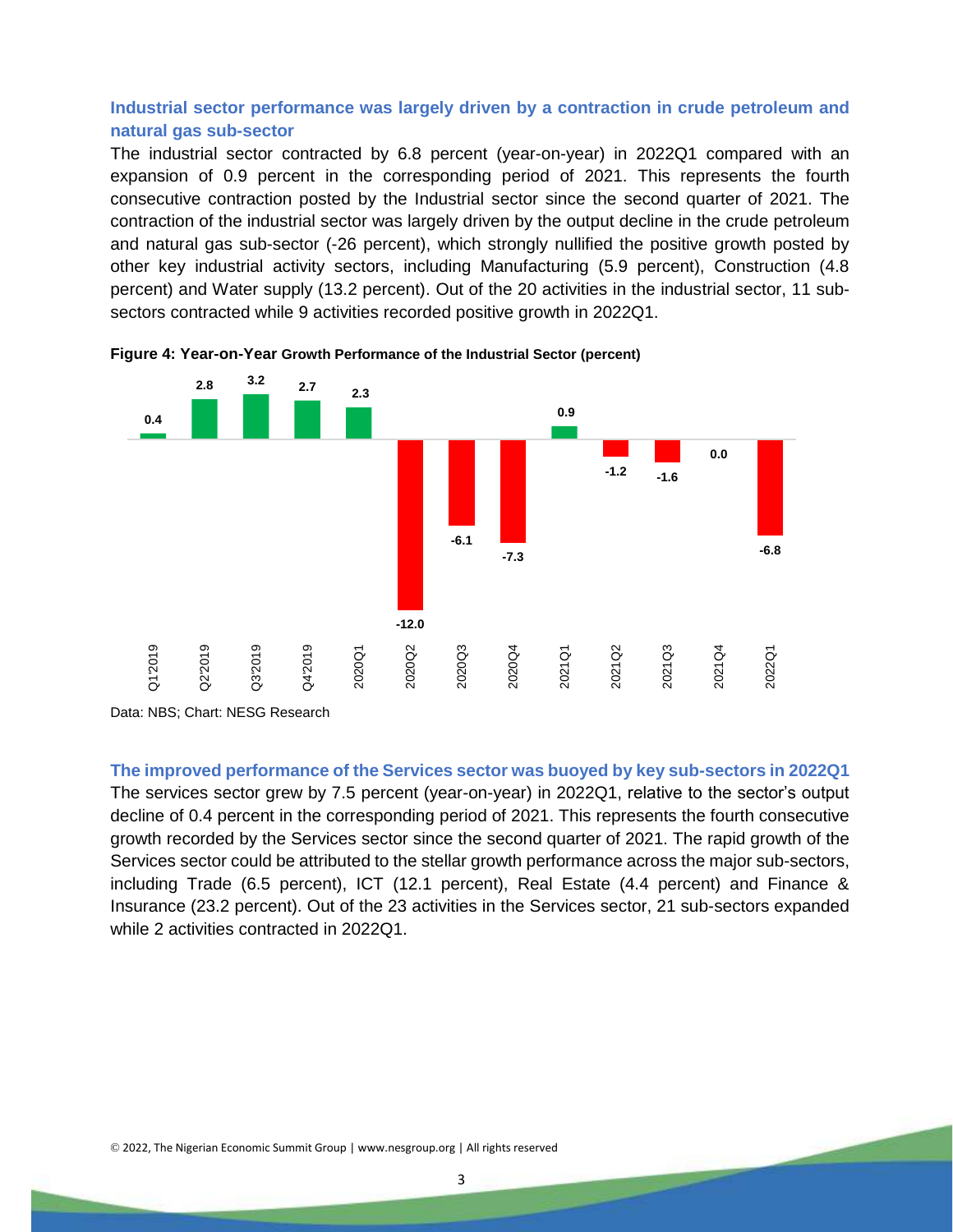## **Industrial sector performance was largely driven by a contraction in crude petroleum and natural gas sub-sector**

The industrial sector contracted by 6.8 percent (year-on-year) in 2022Q1 compared with an expansion of 0.9 percent in the corresponding period of 2021. This represents the fourth consecutive contraction posted by the Industrial sector since the second quarter of 2021. The contraction of the industrial sector was largely driven by the output decline in the crude petroleum and natural gas sub-sector (-26 percent), which strongly nullified the positive growth posted by other key industrial activity sectors, including Manufacturing (5.9 percent), Construction (4.8 percent) and Water supply (13.2 percent). Out of the 20 activities in the industrial sector, 11 subsectors contracted while 9 activities recorded positive growth in 2022Q1.



**Figure 4: Year-on-Year Growth Performance of the Industrial Sector (percent)**

Data: NBS; Chart: NESG Research

**The improved performance of the Services sector was buoyed by key sub-sectors in 2022Q1** 

The services sector grew by 7.5 percent (year-on-year) in 2022Q1, relative to the sector's output decline of 0.4 percent in the corresponding period of 2021. This represents the fourth consecutive growth recorded by the Services sector since the second quarter of 2021. The rapid growth of the Services sector could be attributed to the stellar growth performance across the major sub-sectors, including Trade (6.5 percent), ICT (12.1 percent), Real Estate (4.4 percent) and Finance & Insurance (23.2 percent). Out of the 23 activities in the Services sector, 21 sub-sectors expanded while 2 activities contracted in 2022Q1.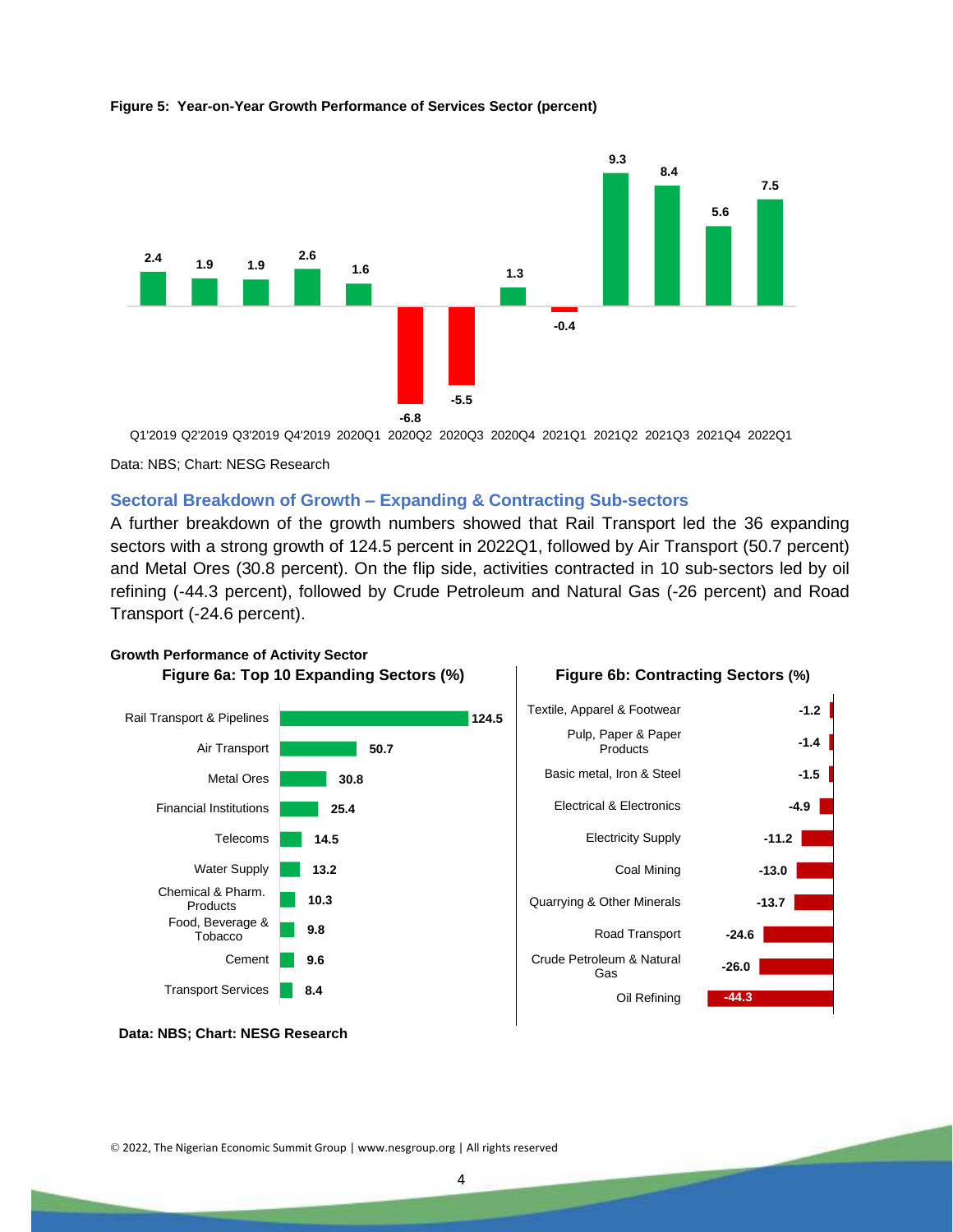

#### **Figure 5: Year-on-Year Growth Performance of Services Sector (percent)**

Q1'2019 Q2'2019 Q3'2019 Q4'2019 2020Q1 2020Q2 2020Q3 2020Q4 2021Q1 2021Q2 2021Q3 2021Q4 2022Q1

Data: NBS; Chart: NESG Research

## **Sectoral Breakdown of Growth – Expanding & Contracting Sub-sectors**

A further breakdown of the growth numbers showed that Rail Transport led the 36 expanding sectors with a strong growth of 124.5 percent in 2022Q1, followed by Air Transport (50.7 percent) and Metal Ores (30.8 percent). On the flip side, activities contracted in 10 sub-sectors led by oil refining (-44.3 percent), followed by Crude Petroleum and Natural Gas (-26 percent) and Road Transport (-24.6 percent).



**Data: NBS; Chart: NESG Research**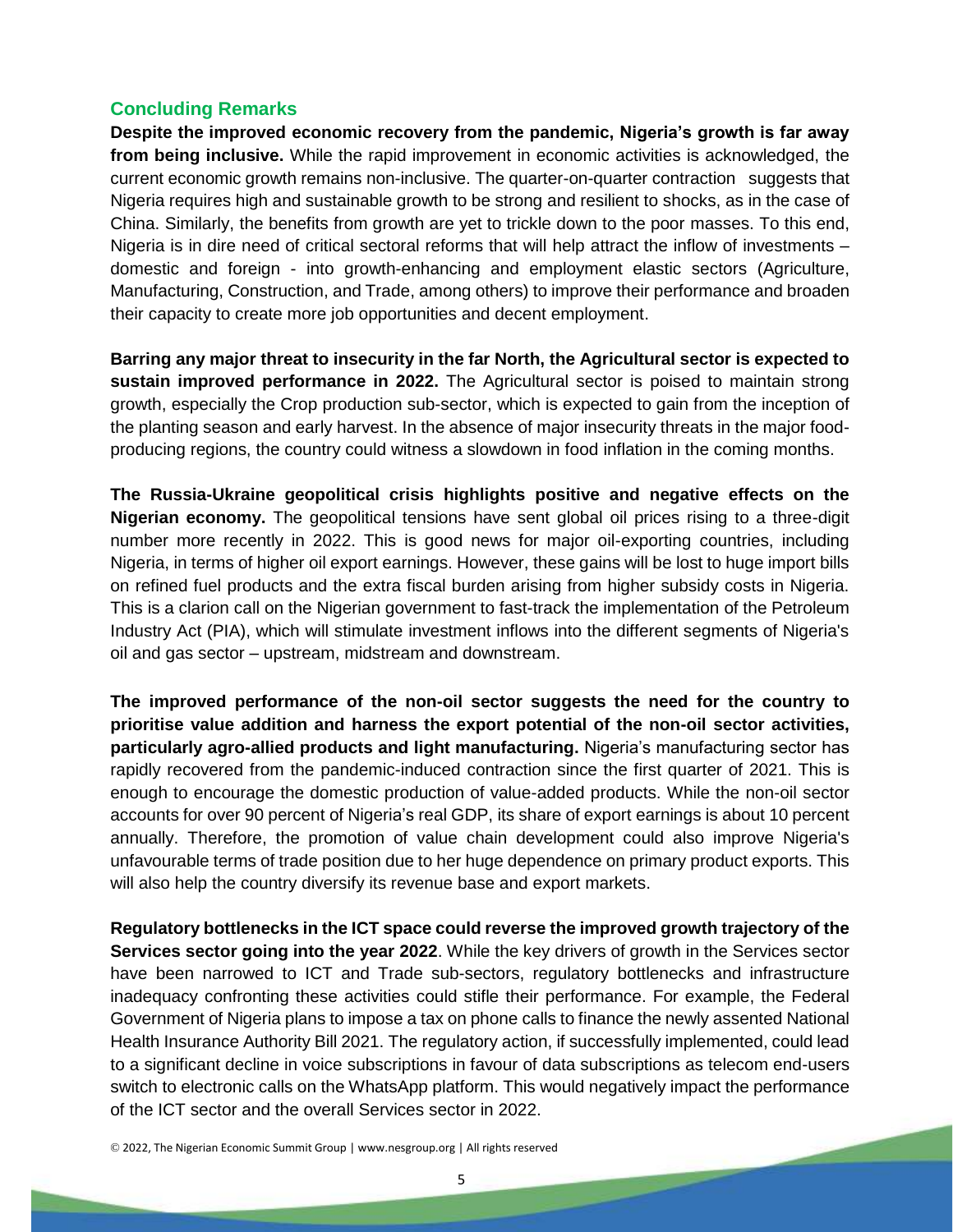# **Concluding Remarks**

**Despite the improved economic recovery from the pandemic, Nigeria's growth is far away from being inclusive.** While the rapid improvement in economic activities is acknowledged, the current economic growth remains non-inclusive. The quarter-on-quarter contraction suggests that Nigeria requires high and sustainable growth to be strong and resilient to shocks, as in the case of China. Similarly, the benefits from growth are yet to trickle down to the poor masses. To this end, Nigeria is in dire need of critical sectoral reforms that will help attract the inflow of investments – domestic and foreign - into growth-enhancing and employment elastic sectors (Agriculture, Manufacturing, Construction, and Trade, among others) to improve their performance and broaden their capacity to create more job opportunities and decent employment.

**Barring any major threat to insecurity in the far North, the Agricultural sector is expected to sustain improved performance in 2022.** The Agricultural sector is poised to maintain strong growth, especially the Crop production sub-sector, which is expected to gain from the inception of the planting season and early harvest. In the absence of major insecurity threats in the major foodproducing regions, the country could witness a slowdown in food inflation in the coming months.

**The Russia-Ukraine geopolitical crisis highlights positive and negative effects on the Nigerian economy.** The geopolitical tensions have sent global oil prices rising to a three-digit number more recently in 2022. This is good news for major oil-exporting countries, including Nigeria, in terms of higher oil export earnings. However, these gains will be lost to huge import bills on refined fuel products and the extra fiscal burden arising from higher subsidy costs in Nigeria. This is a clarion call on the Nigerian government to fast-track the implementation of the Petroleum Industry Act (PIA), which will stimulate investment inflows into the different segments of Nigeria's oil and gas sector – upstream, midstream and downstream.

**The improved performance of the non-oil sector suggests the need for the country to prioritise value addition and harness the export potential of the non-oil sector activities, particularly agro-allied products and light manufacturing.** Nigeria's manufacturing sector has rapidly recovered from the pandemic-induced contraction since the first quarter of 2021. This is enough to encourage the domestic production of value-added products. While the non-oil sector accounts for over 90 percent of Nigeria's real GDP, its share of export earnings is about 10 percent annually. Therefore, the promotion of value chain development could also improve Nigeria's unfavourable terms of trade position due to her huge dependence on primary product exports. This will also help the country diversify its revenue base and export markets.

**Regulatory bottlenecks in the ICT space could reverse the improved growth trajectory of the Services sector going into the year 2022**. While the key drivers of growth in the Services sector have been narrowed to ICT and Trade sub-sectors, regulatory bottlenecks and infrastructure inadequacy confronting these activities could stifle their performance. For example, the Federal Government of Nigeria plans to impose a tax on phone calls to finance the newly assented National Health Insurance Authority Bill 2021. The regulatory action, if successfully implemented, could lead to a significant decline in voice subscriptions in favour of data subscriptions as telecom end-users switch to electronic calls on the WhatsApp platform. This would negatively impact the performance of the ICT sector and the overall Services sector in 2022.

© 2022, The Nigerian Economic Summit Group | www.nesgroup.org | All rights reserved

5